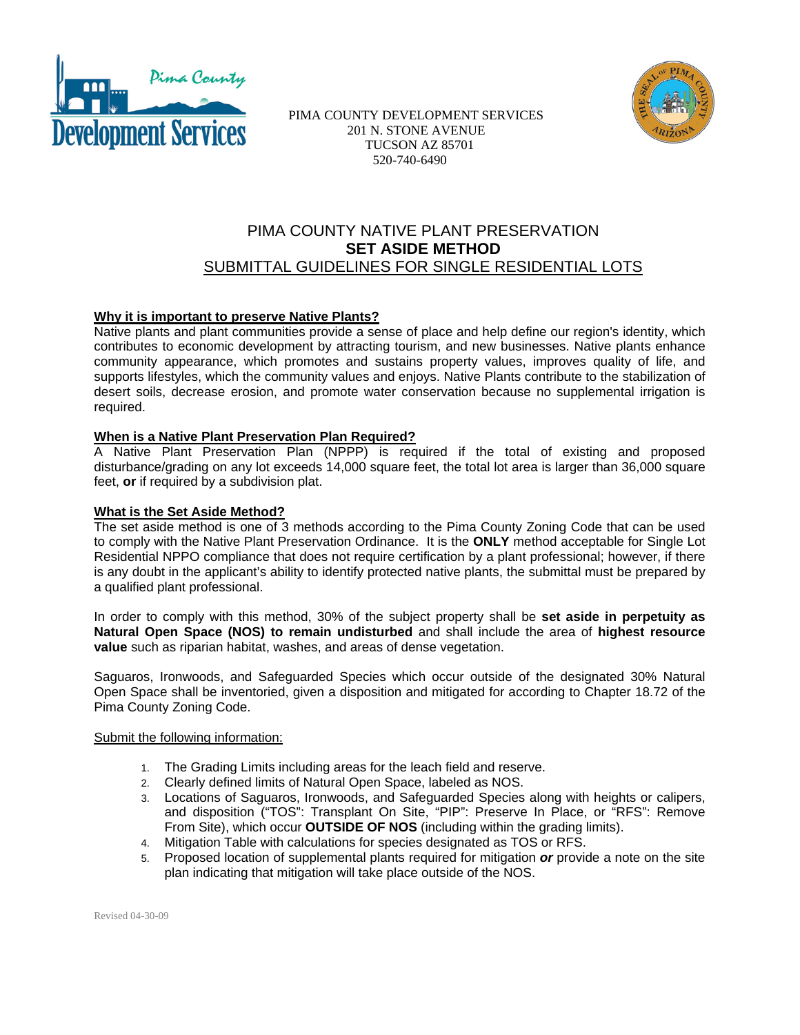



 PIMA COUNTY DEVELOPMENT SERVICES 201 N. STONE AVENUE TUCSON AZ 85701 520-740-6490

# PIMA COUNTY NATIVE PLANT PRESERVATION **SET ASIDE METHOD**  SUBMITTAL GUIDELINES FOR SINGLE RESIDENTIAL LOTS

### **Why it is important to preserve Native Plants?**

Native plants and plant communities provide a sense of place and help define our region's identity, which contributes to economic development by attracting tourism, and new businesses. Native plants enhance community appearance, which promotes and sustains property values, improves quality of life, and supports lifestyles, which the community values and enjoys. Native Plants contribute to the stabilization of desert soils, decrease erosion, and promote water conservation because no supplemental irrigation is required.

### **When is a Native Plant Preservation Plan Required?**

A Native Plant Preservation Plan (NPPP) is required if the total of existing and proposed disturbance/grading on any lot exceeds 14,000 square feet, the total lot area is larger than 36,000 square feet, **or** if required by a subdivision plat.

#### **What is the Set Aside Method?**

The set aside method is one of 3 methods according to the Pima County Zoning Code that can be used to comply with the Native Plant Preservation Ordinance. It is the **ONLY** method acceptable for Single Lot Residential NPPO compliance that does not require certification by a plant professional; however, if there is any doubt in the applicant's ability to identify protected native plants, the submittal must be prepared by a qualified plant professional.

In order to comply with this method, 30% of the subject property shall be **set aside in perpetuity as Natural Open Space (NOS) to remain undisturbed** and shall include the area of **highest resource value** such as riparian habitat, washes, and areas of dense vegetation.

Saguaros, Ironwoods, and Safeguarded Species which occur outside of the designated 30% Natural Open Space shall be inventoried, given a disposition and mitigated for according to Chapter 18.72 of the Pima County Zoning Code.

#### Submit the following information:

- 1. The Grading Limits including areas for the leach field and reserve.
- 2. Clearly defined limits of Natural Open Space, labeled as NOS.
- 3. Locations of Saguaros, Ironwoods, and Safeguarded Species along with heights or calipers, and disposition ("TOS": Transplant On Site, "PIP": Preserve In Place, or "RFS": Remove From Site), which occur **OUTSIDE OF NOS** (including within the grading limits).
- 4. Mitigation Table with calculations for species designated as TOS or RFS.
- 5. Proposed location of supplemental plants required for mitigation *or* provide a note on the site plan indicating that mitigation will take place outside of the NOS.

Revised 04-30-09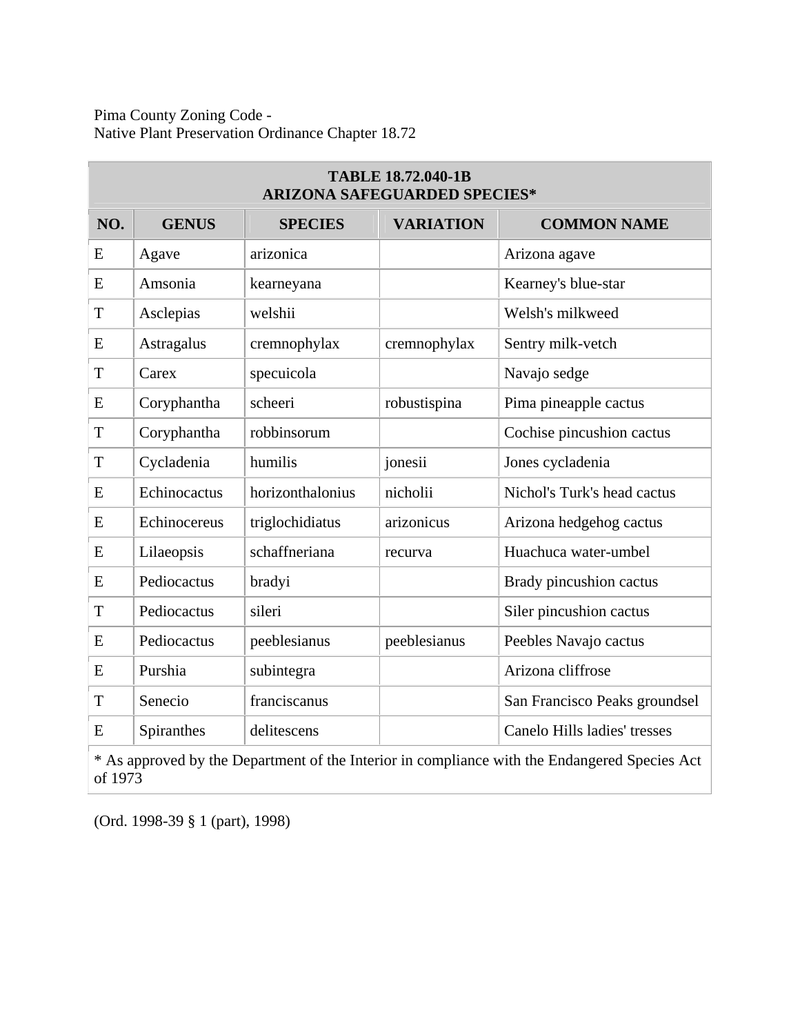Pima County Zoning Code - Native Plant Preservation Ordinance Chapter 18.72

| <b>TABLE 18.72.040-1B</b><br><b>ARIZONA SAFEGUARDED SPECIES*</b> |              |                  |                  |                               |  |  |  |  |  |  |
|------------------------------------------------------------------|--------------|------------------|------------------|-------------------------------|--|--|--|--|--|--|
| NO.                                                              | <b>GENUS</b> | <b>SPECIES</b>   | <b>VARIATION</b> | <b>COMMON NAME</b>            |  |  |  |  |  |  |
| E                                                                | Agave        | arizonica        |                  | Arizona agave                 |  |  |  |  |  |  |
| E                                                                | Amsonia      | kearneyana       |                  | Kearney's blue-star           |  |  |  |  |  |  |
| T                                                                | Asclepias    | welshii          |                  | Welsh's milkweed              |  |  |  |  |  |  |
| E                                                                | Astragalus   | cremnophylax     | cremnophylax     | Sentry milk-vetch             |  |  |  |  |  |  |
| T                                                                | Carex        | specuicola       |                  | Navajo sedge                  |  |  |  |  |  |  |
| E                                                                | Coryphantha  | scheeri          | robustispina     | Pima pineapple cactus         |  |  |  |  |  |  |
| T                                                                | Coryphantha  | robbinsorum      |                  | Cochise pincushion cactus     |  |  |  |  |  |  |
| T                                                                | Cycladenia   | humilis          | jonesii          | Jones cycladenia              |  |  |  |  |  |  |
| E                                                                | Echinocactus | horizonthalonius | nicholii         | Nichol's Turk's head cactus   |  |  |  |  |  |  |
| E                                                                | Echinocereus | triglochidiatus  | arizonicus       | Arizona hedgehog cactus       |  |  |  |  |  |  |
| E                                                                | Lilaeopsis   | schaffneriana    | recurva          | Huachuca water-umbel          |  |  |  |  |  |  |
| E                                                                | Pediocactus  | bradyi           |                  | Brady pincushion cactus       |  |  |  |  |  |  |
| T                                                                | Pediocactus  | sileri           |                  | Siler pincushion cactus       |  |  |  |  |  |  |
| E                                                                | Pediocactus  | peeblesianus     | peeblesianus     | Peebles Navajo cactus         |  |  |  |  |  |  |
| E                                                                | Purshia      | subintegra       |                  | Arizona cliffrose             |  |  |  |  |  |  |
| T                                                                | Senecio      | franciscanus     |                  | San Francisco Peaks groundsel |  |  |  |  |  |  |
| E                                                                | Spiranthes   | delitescens      |                  | Canelo Hills ladies' tresses  |  |  |  |  |  |  |

\* As approved by the Department of the Interior in compliance with the Endangered Species Act of 1973

(Ord. 1998-39 § 1 (part), 1998)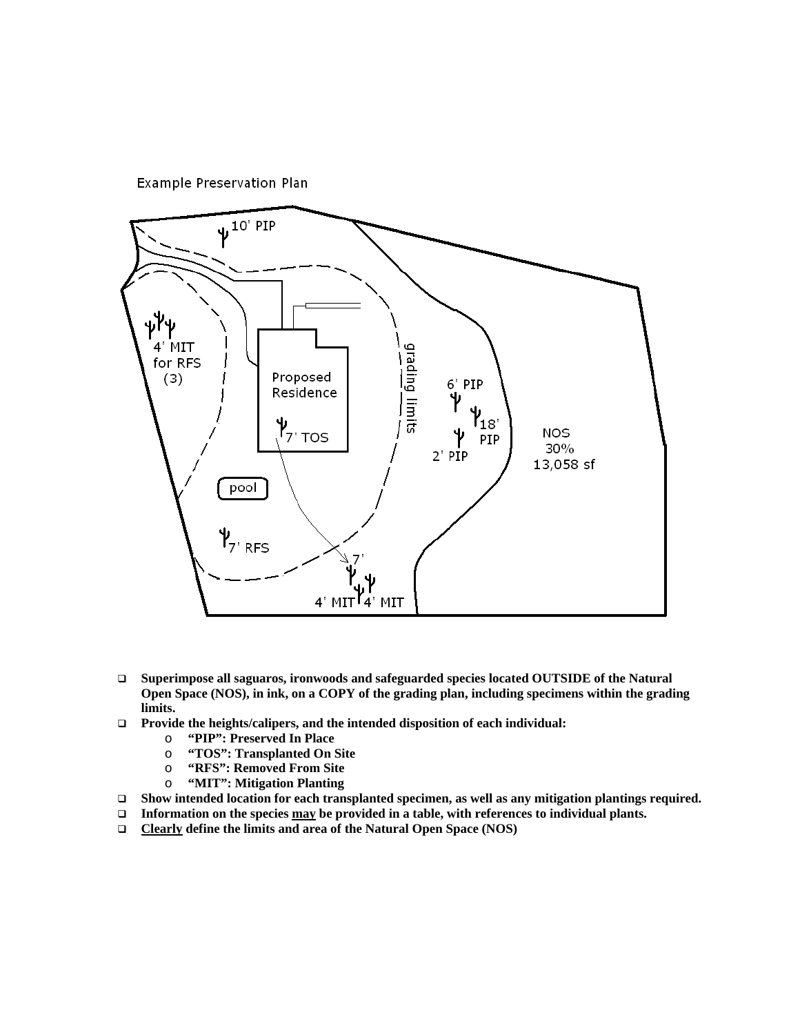



- **Superimpose all saguaros, ironwoods and safeguarded species located OUTSIDE of the Natural Open Space (NOS), in ink, on a COPY of the grading plan, including specimens within the grading limits.**
- **Provide the heights/calipers, and the intended disposition of each individual:** 
	-
	- o **"PIP": Preserved In Place**  o **"TOS": Transplanted On Site**
	- o **"RFS": Removed From Site**
	- o **"MIT": Mitigation Planting**
- □ Show intended location for each transplanted specimen, as well as any mitigation plantings required.
- □ Information on the species <u>may</u> be provided in a table, with references to individual plants.
- **Clearly define the limits and area of the Natural Open Space (NOS)**